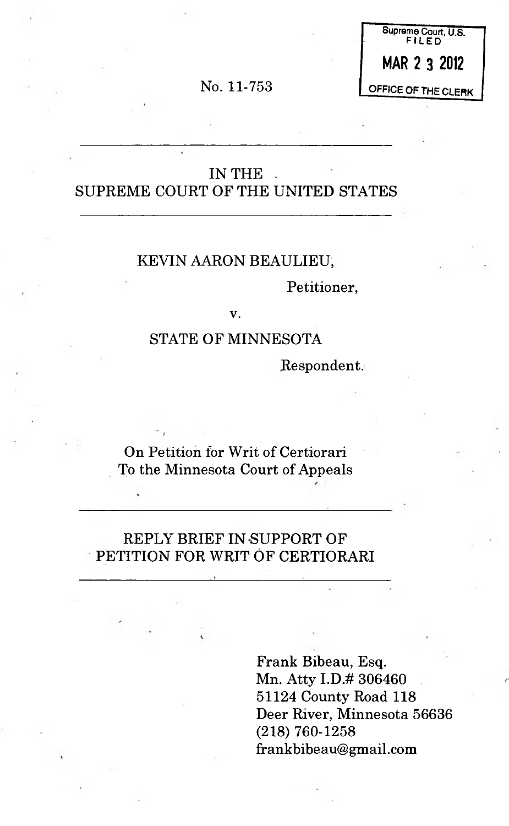No. 11-753

Supreme Court, U.S. FILED MAR 2 3 2012 OFFICE OF THE CLERK

### IN THE SUPREME COURT OF THE UNITED STATES

#### KEVIN AARON BEAULIEU,

Petitioner,

v.

### STATE OF MINNESOTA

Respondent.

On Petition for Writ of Certiorari To the Minnesota Court of Appeals

### REPLY BRIEF IN SUPPORT OF PETITION FOR WRIT OF CERTIORARI

Frank Bibeau, Esq. Mn. Atty I.D.# 306460 51124 County Road 118 Deer River, Minnesota 56636 (218) 760-1258 [frankbibeau@gmail.com](mailto:frankbibeau@gmail.com)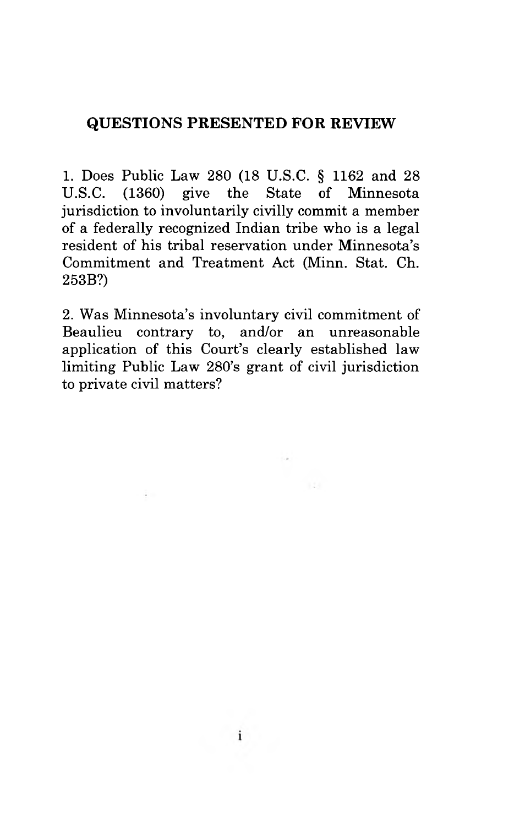### QUESTIONS PRESENTED FOR REVIEW

1. Does Public Law 280 (18 U.S.C. § 1162 and 28 U.S.C. (1360) give the State of Minnesota jurisdiction to involuntarily civilly commit a member of a federally recognized Indian tribe who is a legal resident of his tribal reservation under Minnesota's Commitment and Treatment Act (Minn. Stat. Ch. 253B?)

2. Was Minnesota's involuntary civil commitment of Beaulieu contrary to, and/or an unreasonable application of this Court's clearly established law limiting Public Law 280's grant of civil jurisdiction to private civil matters?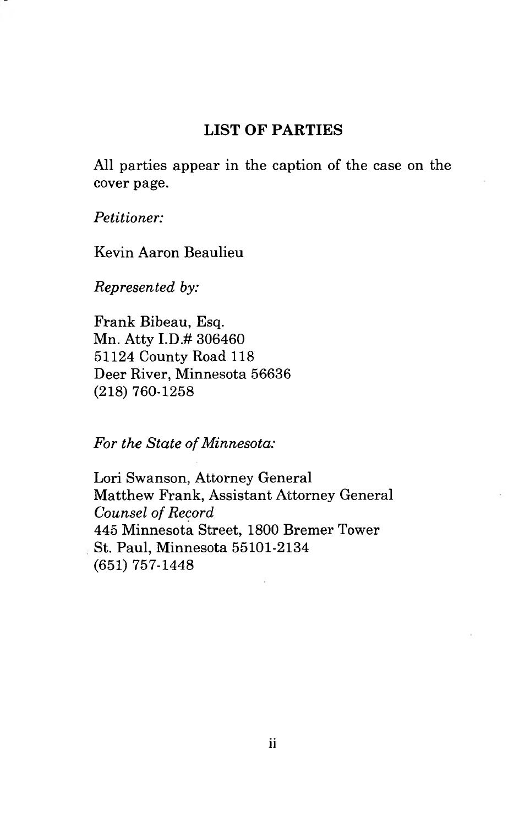### <span id="page-2-0"></span>**LIST OF PARTIES**

All parties appear in the caption of the case on the cover page.

*Petitioner:*

Kevin Aaron Beaulieu

*Represented by:*

Frank Bibeau, Esq. Mn. Atty I.D.# 306460 51124 County Road 118 Deer River, Minnesota 56636 (218) 760-1258

*For the State of Minnesota:*

Lori Swanson, Attorney General Matthew Frank, Assistant Attorney General *Counsel of Record* 445 Minnesota Street, 1800 Bremer Tower St. Paul, Minnesota 55101-2134 (651) 757-1448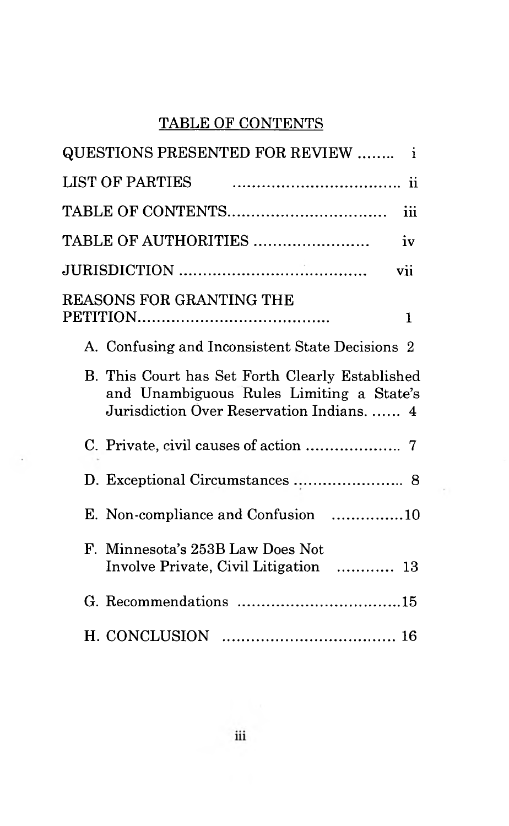# TABLE OF CONTENTS

| QUESTIONS PRESENTED FOR REVIEW  i                                                                                                        |
|------------------------------------------------------------------------------------------------------------------------------------------|
| <b>LIST OF PARTIES</b>                                                                                                                   |
| iii                                                                                                                                      |
| TABLE OF AUTHORITIES<br>iv                                                                                                               |
| vii                                                                                                                                      |
| <b>REASONS FOR GRANTING THE</b><br>$\mathbf{1}$                                                                                          |
| A. Confusing and Inconsistent State Decisions 2                                                                                          |
| B. This Court has Set Forth Clearly Established<br>and Unambiguous Rules Limiting a State's<br>Jurisdiction Over Reservation Indians.  4 |
|                                                                                                                                          |
| D. Exceptional Circumstances  8                                                                                                          |
| E. Non-compliance and Confusion 10                                                                                                       |
| F. Minnesota's 253B Law Does Not<br>Involve Private, Civil Litigation  13                                                                |
|                                                                                                                                          |
|                                                                                                                                          |

i,

 $\sim 10$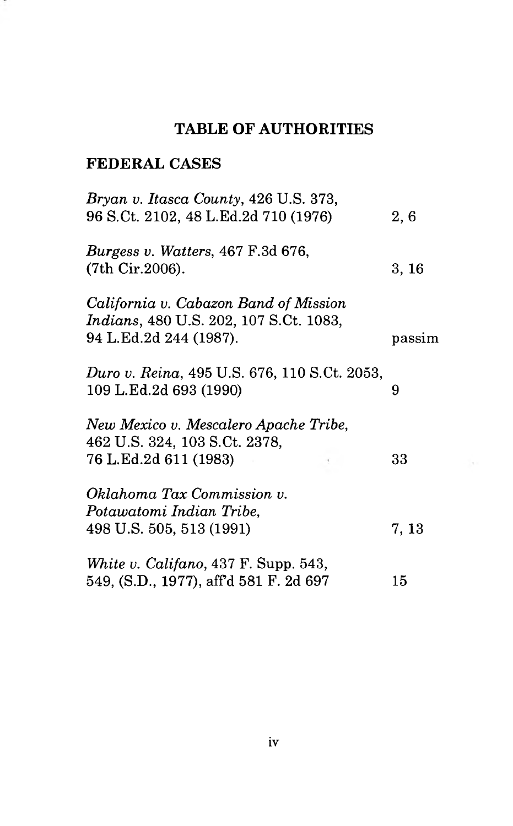# <span id="page-4-0"></span>**TABLE OF AUTHORITIES**

### **FEDERAL CASES**

÷

| Bryan v. Itasca County, 426 U.S. 373,<br>96 S.Ct. 2102, 48 L.Ed.2d 710 (1976)                                     | 2,6    |
|-------------------------------------------------------------------------------------------------------------------|--------|
| <i>Burgess v. Watters, 467 F.3d 676,</i><br>(7th Cir.2006).                                                       | 3, 16  |
| California v. Cabazon Band of Mission<br><i>Indians</i> , 480 U.S. 202, 107 S.Ct. 1083,<br>94 L.Ed.2d 244 (1987). | passim |
| Duro v. Reina, 495 U.S. 676, 110 S.Ct. 2053,<br>109 L.Ed.2d 693 (1990)                                            | 9      |
| New Mexico v. Mescalero Apache Tribe,<br>462 U.S. 324, 103 S.Ct. 2378,<br>76 L.Ed.2d 611 (1983)                   | 33     |
| Oklahoma Tax Commission v.<br>Potawatomi Indian Tribe,<br>498 U.S. 505, 513 (1991)                                | 7, 13  |
| White v. Califano, $437$ F. Supp. 543,<br>549, (S.D., 1977), aff'd 581 F. 2d 697                                  | 15     |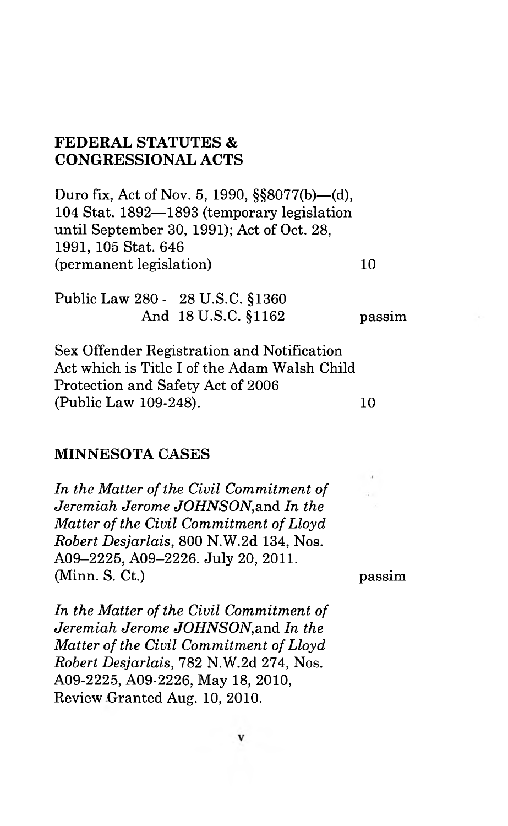### **FEDERAL STATUTES & CONGRESSIONAL ACTS**

Duro fix, Act of Nov. 5, 1990, §§8077(b)—(d), 104 Stat. 1892—1893 (temporary legislation until September 30, 1991); Act of Oct. 28, 1991, 105 Stat. 646 (permanent legislation) 10

Public Law 280 - 28 U.S.C. §1360 And 18 U.S.C. §1162 passim

Sex Offender Registration and Notification Act which is Title I of the Adam Walsh Child Protection and Safety Act of 2006 (Public Law 109-248).

#### **MINNESOTA CASES**

*In the Matter of the Civil Commitment of Jeremiah Jerome JOHNSON,*and *In the Matter of the Civil Commitment of Lloyd Robert Desjarlais,* 800 N.W.2d 134, Nos. A09-2225, A09-2226. July 20, 2011. (Minn. S. Ct.)

passim

*In the Matter of the Civil Commitment of Jeremiah Jerome JOHNSON,*and *In the Matter of the Civil Commitment of Lloyd Robert Desjarlais,* 782 N.W.2d 274, Nos. A09-2225, A09-2226, May 18, 2010, Review Granted Aug. 10, 2010.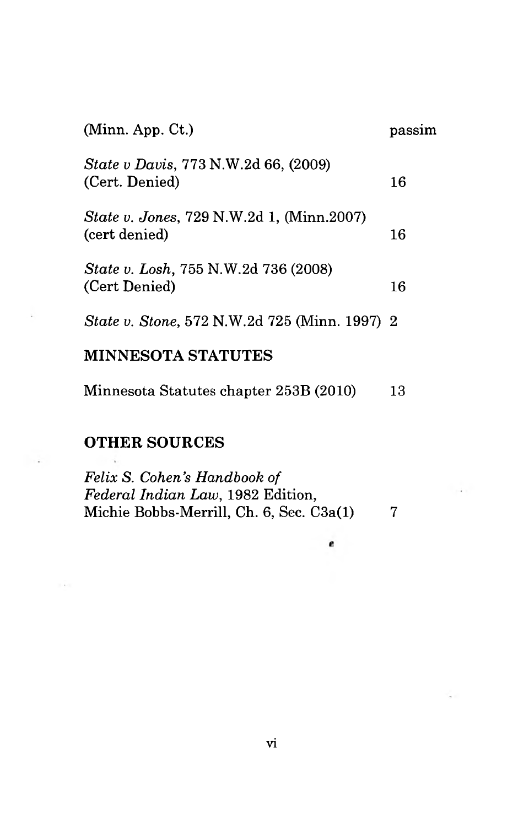| (Minn. App. Ct.)                                                  | passım |
|-------------------------------------------------------------------|--------|
| <i>State v Davis, 773 N.W.2d 66, (2009)</i><br>(Cert. Denied)     | 16     |
| <i>State v. Jones, 729 N.W.2d 1, (Minn.2007)</i><br>(cert denied) | 16     |
| <i>State v. Losh, 755 N.W.2d 736 (2008)</i><br>(Cert Denied)      | 16     |
| <i>State v. Stone, 572 N.W.2d 725 (Minn. 1997) 2</i>              |        |
| <b>MINNESOTA STATUTES</b>                                         |        |

Minnesota Statutes chapter 253B (2010) 13

# **OTHER SOURCES**

 $\sim$   $\sim$ 

 $1 - 4 = 1$ 

| Felix S. Cohen's Handbook of              |   |
|-------------------------------------------|---|
| <i>Federal Indian Law</i> , 1982 Edition, |   |
| Michie Bobbs-Merrill, Ch. 6, Sec. C3a(1)  | 7 |

 $\epsilon$ 

vi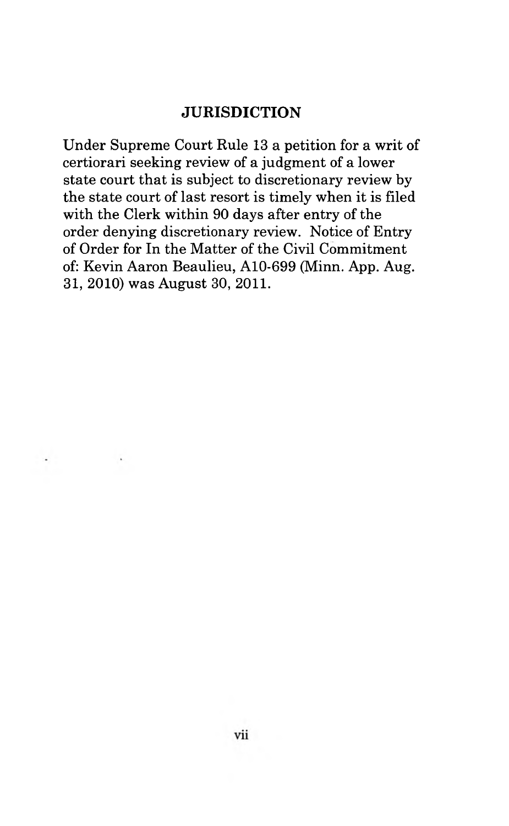### <span id="page-7-0"></span>**JURISDICTION**

Under Supreme Court Rule 13 a petition for a writ of certiorari seeking review of a judgment of a lower state court that is subject to discretionary review by the state court of last resort is timely when it is filed with the Clerk within 90 days after entry of the order denying discretionary review. Notice of Entry of Order for In the Matter of the Civil Commitment of: Kevin Aaron Beaulieu, A10-699 (Minn. App. Aug. 31, 2010) was August 30, 2011.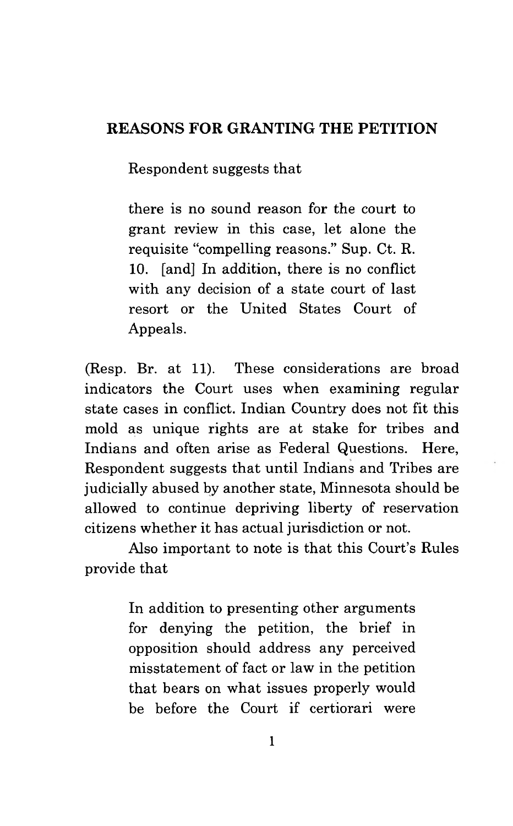## **REASONS FOR GRANTING THE PETITION**

Respondent suggests that

there is no sound reason for the court to grant review in this case, let alone the requisite "compelling reasons." Sup. Ct. R. 10. [and] In addition, there is no conflict with any decision of a state court of last resort or the United States Court of Appeals.

(Resp. Br. at 11). These considerations are broad indicators the Court uses when examining regular state cases in conflict. Indian Country does not fit this mold as unique rights are at stake for tribes and Indians and often arise as Federal Questions. Here, Respondent suggests that until Indians and Tribes are judicially abused by another state, Minnesota should be allowed to continue depriving liberty of reservation citizens whether it has actual jurisdiction or not.

Also important to note is that this Court's Rules provide that

> In addition to presenting other arguments for denying the petition, the brief in opposition should address any perceived misstatement of fact or law in the petition that bears on what issues properly would be before the Court if certiorari were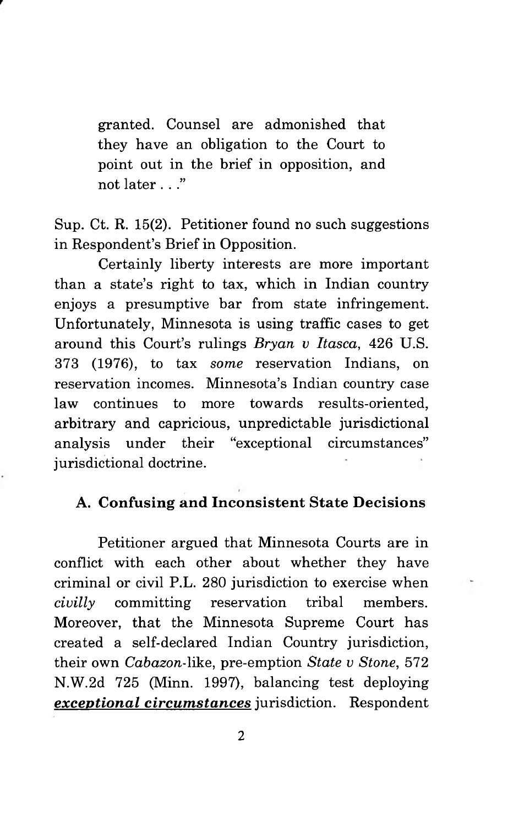granted. Counsel are admonished that they have an obligation to the Court to point out in the brief in opposition, and not later . . ."

Sup. Ct. R. 15(2). Petitioner found no such suggestions in Respondent's Brief in Opposition.

Certainly liberty interests are more important than a state's right to tax, which in Indian country enjoys a presumptive bar from state infringement. Unfortunately, Minnesota is using traffic cases to get around this Court's rulings *Bryan v Itasca,* 426 U.S. 373 (1976), to tax *some* reservation Indians, on reservation incomes. Minnesota's Indian country case law continues to more towards results-oriented, arbitrary and capricious, unpredictable jurisdictional analysis under their "exceptional circumstances" jurisdictional doctrine.

### **A. Confusing and Inconsistent State Decisions**

Petitioner argued that Minnesota Courts are in conflict with each other about whether they have criminal or civil P.L. 280 jurisdiction to exercise when *civilly* committing reservation tribal members. Moreover, that the Minnesota Supreme Court has created a self-declared Indian Country jurisdiction, their own *Cabazon-\\k&,* pre-emption *State v Stone, 572* N.W.2d 725 (Minn. 1997), balancing test deploying *exceptional circumstances* jurisdiction. Respondent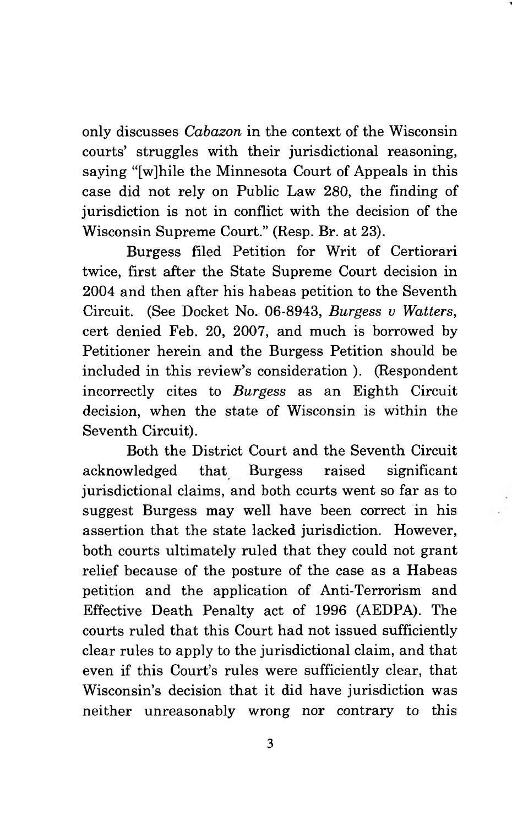only discusses *Cabazon* in the context of the Wisconsin courts' struggles with their jurisdictional reasoning, saying "[w]hile the Minnesota Court of Appeals in this case did not rely on Public Law 280, the finding of jurisdiction is not in conflict with the decision of the Wisconsin Supreme Court." (Resp. Br. at 23).

Burgess filed Petition for Writ of Certiorari twice, first after the State Supreme Court decision in 2004 and then after his habeas petition to the Seventh Circuit. (See Docket No. 06-8943, *Burgess u Watters,* cert denied Feb. 20, 2007, and much is borrowed by Petitioner herein and the Burgess Petition should be included in this review's consideration ). (Respondent incorrectly cites to *Burgess* as an Eighth Circuit decision, when the state of Wisconsin is within the Seventh Circuit).

Both the District Court and the Seventh Circuit acknowledged that Burgess raised significant jurisdictional claims, and both courts went so far as to suggest Burgess may well have been correct in his assertion that the state lacked jurisdiction. However, both courts ultimately ruled that they could not grant relief because of the posture of the case as a Habeas petition and the application of Anti-Terrorism and Effective Death Penalty act of 1996 (AEDPA). The courts ruled that this Court had not issued sufficiently clear rules to apply to the jurisdictional claim, and that even if this Court's rules were sufficiently clear, that Wisconsin's decision that it did have jurisdiction was neither unreasonably wrong nor contrary to this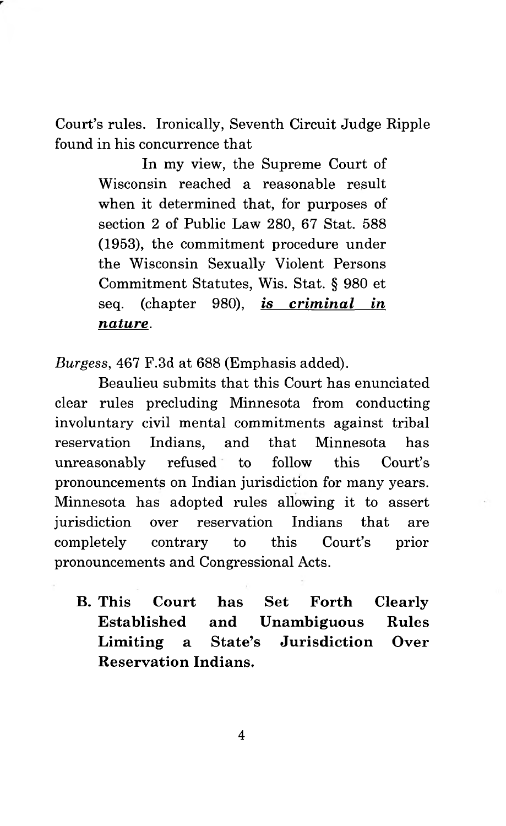Court's rules. Ironically, Seventh Circuit Judge Ripple found in his concurrence that

> In my view, the Supreme Court of Wisconsin reached a reasonable result when it determined that, for purposes of section 2 of Public Law 280, 67 Stat. 588 (1953), the commitment procedure under the Wisconsin Sexually Violent Persons Commitment Statutes, Wis. Stat. § 980 et seq. (chapter 980), *is criminal in nature.*

*Burgess,* 467 F.3d at 688 (Emphasis added).

Beaulieu submits that this Court has enunciated clear rules precluding Minnesota from conducting involuntary civil mental commitments against tribal reservation Indians, and that Minnesota has unreasonably refused to follow this Court's pronouncements on Indian jurisdiction for many years. Minnesota has adopted rules allowing it to assert jurisdiction over reservation Indians that are completely contrary to this Court's prior pronouncements and Congressional Acts.

**B. This Court has Set Forth Clearly Established and Unambiguous Rules Limiting a State's Jurisdiction Over Reservation Indians.**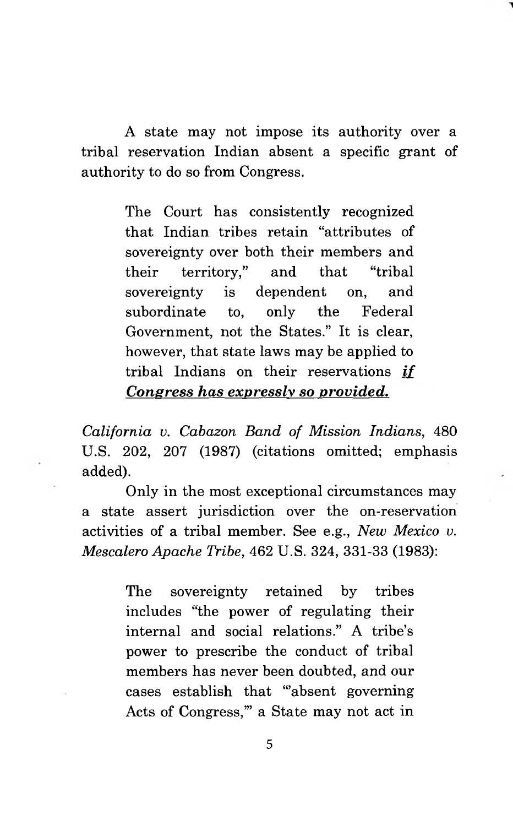A state may not impose its authority over a tribal reservation Indian absent a specific grant of authority to do so from Congress.

> The Court has consistently recognized that Indian tribes retain "attributes of sovereignty over both their members and their territory," and that "tribal sovereignty is dependent on, and subordinate to, only the Federal Government, not the States." It is clear, however, that state laws may be applied to tribal Indians on their reservations *if Consress has expressly so provided.*

*California v. Cabazon Band of Mission Indians,* 480 U.S. 202, 207 (1987) (citations omitted; emphasis added).

Only in the most exceptional circumstances may a state assert jurisdiction over the on-reservation activities of a tribal member. See e.g., *New Mexico v. Mescalero Apache Tribe,* 462 U.S. 324, 331-33 (1983):

> The sovereignty retained by tribes includes "the power of regulating their internal and social relations." A tribe's power to prescribe the conduct of tribal members has never been doubted, and our cases establish that "absent governing" Acts of Congress,"' a State may not act in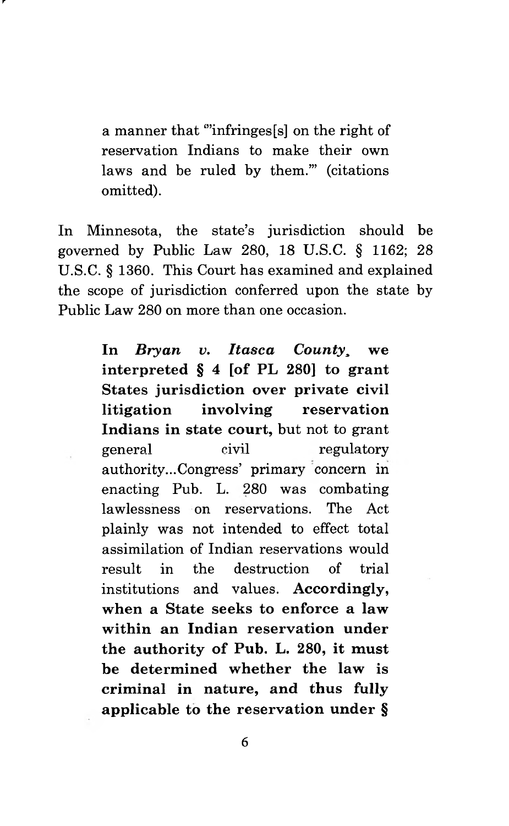a manner that "'infringes [s] on the right of reservation Indians to make their own laws and be ruled by them.'" (citations omitted).

r

In Minnesota, the state's jurisdiction should be governed by Public Law 280, 18 U.S.C. § 1162; 28 U.S.C. § 1360. This Court has examined and explained the scope of jurisdiction conferred upon the state by Public Law 280 on more than one occasion.

> **In** *Bryan v. Itasca County***, we interpreted § 4 [of PL 280] to grant States jurisdiction over private civil litigation involving reservation Indians in state court,** but not to grant general civil regulatory authority...Congress' primary concern in enacting Pub. L. 280 was combating lawlessness on reservations. The Act plainly was not intended to effect total assimilation of Indian reservations would result in the destruction of trial institutions and values. **Accordingly, when a State seeks to enforce a law within an Indian reservation under the authority of Pub. L. 280, it must be determined whether the law is criminal in nature, and thus fully applicable to the reservation under §**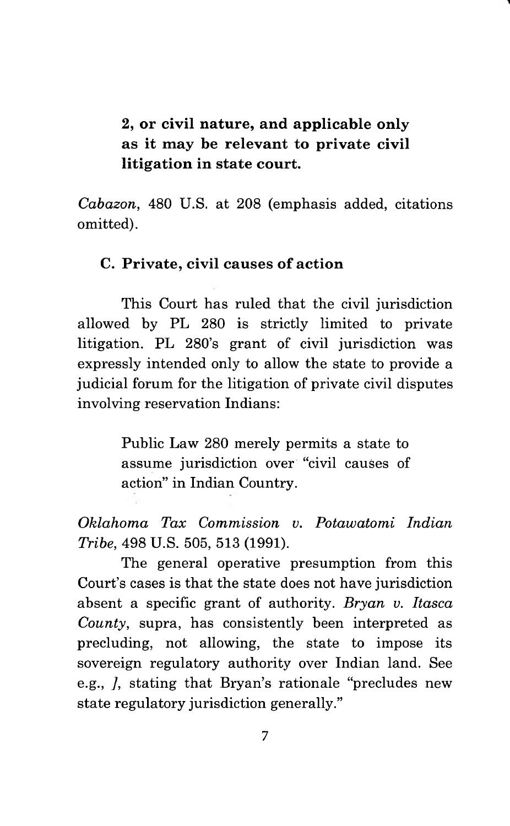**2, or civil nature, and applicable only as it may be relevant to private civil litigation in state court.**

<span id="page-14-0"></span>*Cabazon,* 480 U.S. at 208 (emphasis added, citations omitted).

### **C. Private, civil causes of action**

This Court has ruled that the civil jurisdiction allowed by PL 280 is strictly limited to private litigation. PL 280's grant of civil jurisdiction was expressly intended only to allow the state to provide a judicial forum for the litigation of private civil disputes involving reservation Indians:

> Public Law 280 merely permits a state to assume jurisdiction over "civil causes of action" in Indian Country.

*Oklahoma Tax Commission v. Potawatomi Indian Tribe,* 498 U.S. 505, 513 (1991).

The general operative presumption from this Court's cases is that the state does not have jurisdiction absent a specific grant of authority. *Bryan v. Itasca County,* supra, has consistently been interpreted as precluding, not allowing, the state to impose its sovereign regulatory authority over Indian land. See e.g., *],* stating that Bryan's rationale "precludes new state regulatory jurisdiction generally."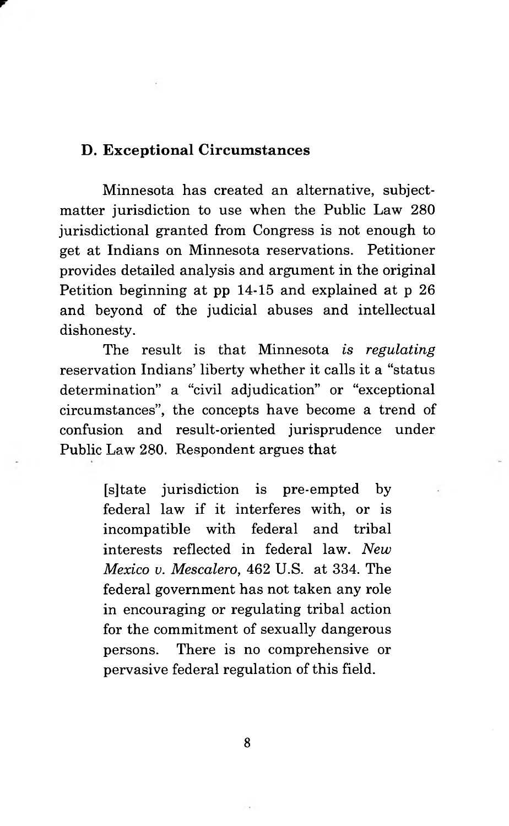### <span id="page-15-0"></span>**D. Exceptional Circumstances**

**r**

Minnesota has created an alternative, subjectmatter jurisdiction to use when the Public Law 280 jurisdictional granted from Congress is not enough to get at Indians on Minnesota reservations. Petitioner provides detailed analysis and argument in the original Petition beginning at pp 14-15 and explained at p 26 and beyond of the judicial abuses and intellectual dishonesty.

The result is that Minnesota *is regulating* reservation Indians' liberty whether it calls it a "status determination" a "civil adjudication" or "exceptional circumstances", the concepts have become a trend of confusion and result-oriented jurisprudence under Public Law 280. Respondent argues that

> [s]tate jurisdiction is pre-empted by federal law if it interferes with, or is incompatible with federal and tribal interests reflected in federal law. *New Mexico v. Mescalero,* 462 U.S. at 334. The federal government has not taken any role in encouraging or regulating tribal action for the commitment of sexually dangerous persons. There is no comprehensive or pervasive federal regulation of this field.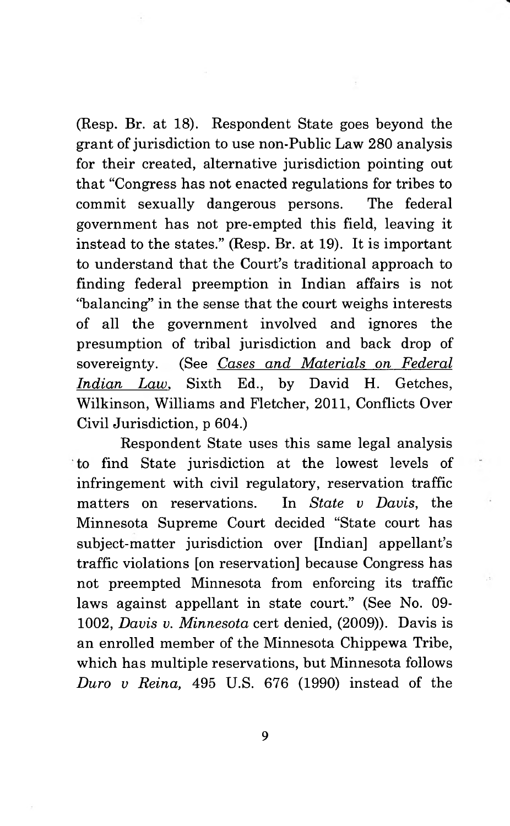(Resp. Br. at 18). Respondent State goes beyond the grant of jurisdiction to use non-Public Law 280 analysis for their created, alternative jurisdiction pointing out that "Congress has not enacted regulations for tribes to commit sexually dangerous persons. The federal government has not pre-empted this field, leaving it instead to the states." (Resp. Br. at 19). It is important to understand that the Court's traditional approach to finding federal preemption in Indian affairs is not "balancing" in the sense that the court weighs interests of all the government involved and ignores the presumption of tribal jurisdiction and back drop of sovereignty. (See *Cases and Materials on Federal Indian Law*. Sixth Ed., by David H. Getches, Wilkinson, Williams and Fletcher, 2011, Conflicts Over Civil Jurisdiction, p 604.)

Respondent State uses this same legal analysis to find State jurisdiction at the lowest levels of infringement with civil regulatory, reservation traffic matters on reservations. In *State v Davis,* the Minnesota Supreme Court decided "State court has subject-matter jurisdiction over [Indian] appellant's traffic violations [on reservation] because Congress has not preempted Minnesota from enforcing its traffic laws against appellant in state court." (See No. 09- 1002, *Davis v. Minnesota* cert denied, (2009)). Davis is an enrolled member of the Minnesota Chippewa Tribe, which has multiple reservations, but Minnesota follows *Duro v Reina,* 495 U.S. 676 (1990) instead of the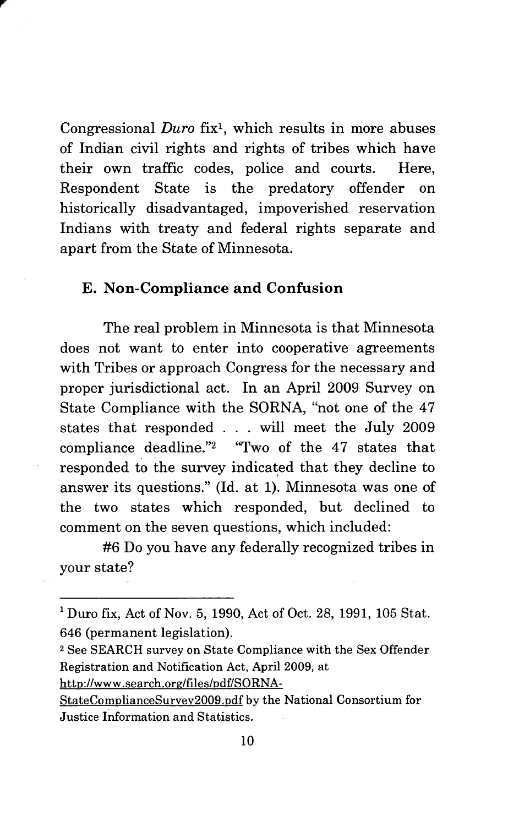Congressional *Duro* fix1, which results in more abuses of Indian civil rights and rights of tribes which have their own traffic codes, police and courts. Here, Respondent State is the predatory offender on historically disadvantaged, impoverished reservation Indians with treaty and federal rights separate and apart from the State of Minnesota.

### <span id="page-17-0"></span>**E. Non-Compliance and Confusion**

The real problem in Minnesota is that Minnesota does not want to enter into cooperative agreements with Tribes or approach Congress for the necessary and proper jurisdictional act. In an April 2009 Survey on State Compliance with the SORNA, "not one of the 47 states that responded . . . will meet the July 2009 compliance deadline."2 "Two of the 47 states that responded to the survey indicated that they decline to answer its questions." (Id. at 1). Minnesota was one of the two states which responded, but declined to comment on the seven questions, which included:

#6 Do you have any federally recognized tribes in your state?

**<http://www.search.org/files/pdf/SORNA->**

**<sup>1</sup> Duro fix, Act of Nov. 5, 1990, Act of Oct. 28, 1991, 105 Stat. 646 (permanent legislation).**

**<sup>2</sup> See SEARCH survey on State Compliance with the Sex Offender Registration and Notification Act, April 2009, at**

**StateComplianceSurvev2009.pdf by the National Consortium for Justice Information and Statistics.**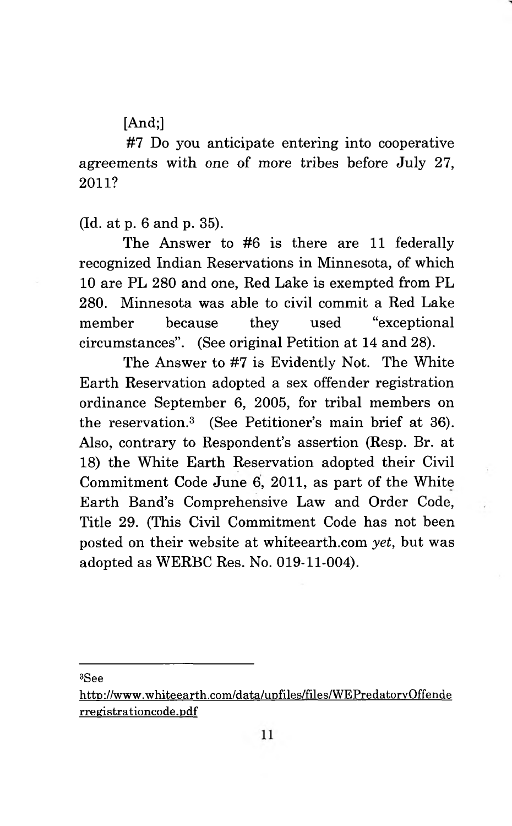[And:]

#7 Do you anticipate entering into cooperative agreements with one of more tribes before July 27, **2011?**

(Id. at p. 6 and p. 35).

The Answer to #6 is there are 11 federally recognized Indian Reservations in Minnesota, of which 10 are PL 280 and one, Red Lake is exempted from PL 280. Minnesota was able to civil commit a Red Lake member because they used "exceptional circumstances". (See original Petition at 14 and 28).

The Answer to #7 is Evidently Not. The White Earth Reservation adopted a sex offender registration ordinance September 6, 2005, for tribal members on the reservation.3 (See Petitioner's main brief at 36). Also, contrary to Respondent's assertion (Resp. Br. at 18) the White Earth Reservation adopted their Civil Commitment Code June 6, 2011, as part of the White Earth Band's Comprehensive Law and Order Code, Title 29. (This Civil Commitment Code has not been posted on their website at whiteearth.com *yet,* but was adopted as WERBC Res. No. 019-11-004).

**3See**

**<http://www.whiteearth.com/data/upfiles/files/WEPredatorvQffende> rregistrationcode.pdf**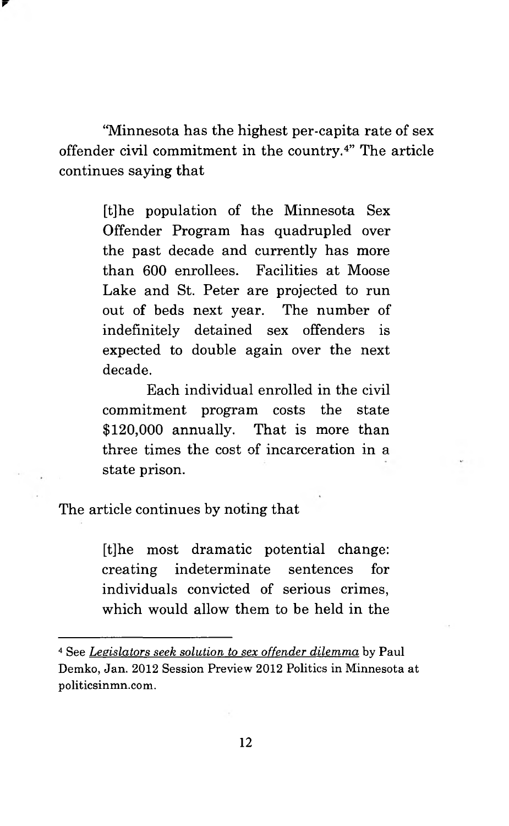"Minnesota has the highest per-capita rate of sex offender civil commitment in the country.4" The article continues saying that

**r**

[t]he population of the Minnesota Sex Offender Program has quadrupled over the past decade and currently has more than 600 enrollees. Facilities at Moose Lake and St. Peter are projected to run out of beds next year. The number of indefinitely detained sex offenders is expected to double again over the next decade.

Each individual enrolled in the civil commitment program costs the state \$120,000 annually. That is more than three times the cost of incarceration in a state prison.

The article continues by noting that

[t]he most dramatic potential change: creating indeterminate sentences for individuals convicted of serious crimes, which would allow them to be held in the

**<sup>4</sup> See** *Legislators seek solution to sex offender dilemma* **by Paul Demko, Jan. 2012 Session Preview 2012 Politics in Minnesota at politicsinmn.com.**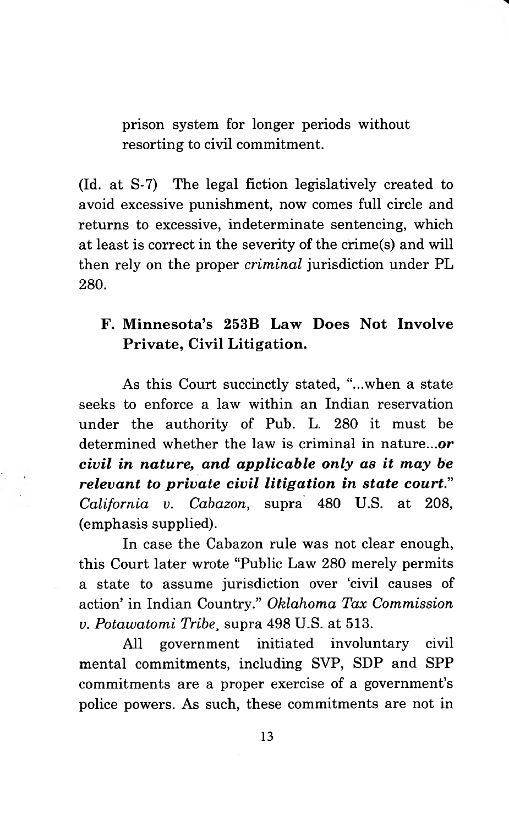prison system for longer periods without resorting to civil commitment.

(Id. at S-7) The legal fiction legislatively created to avoid excessive punishment, now comes full circle and returns to excessive, indeterminate sentencing, which at least is correct in the severity of the crime(s) and will then rely on the proper *criminal* jurisdiction under PL 280.

# **F. Minnesota's 253B Law Does Not Involve Private, Civil Litigation.**

As this Court succinctly stated, "...when a state seeks to enforce a law within an Indian reservation under the authority of Pub. L. 280 it must be determined whether the law is criminal in nature.*..or civil in nature, and applicable only as it may be relevant to private civil litigation in state court" California v. Cabazon,* supra 480 U.S. at 208, (emphasis supplied).

In case the Cabazon rule was not clear enough, this Court later wrote "Public Law 280 merely permits a state to assume jurisdiction over 'civil causes of action' in Indian Country." *Oklahoma Tax Commission v. Potawatomi Tribe,* supra 498 U.S. at 513.

All government initiated involuntary civil mental commitments, including SVP, SDP and SPP commitments are a proper exercise of a government's police powers. As such, these commitments are not in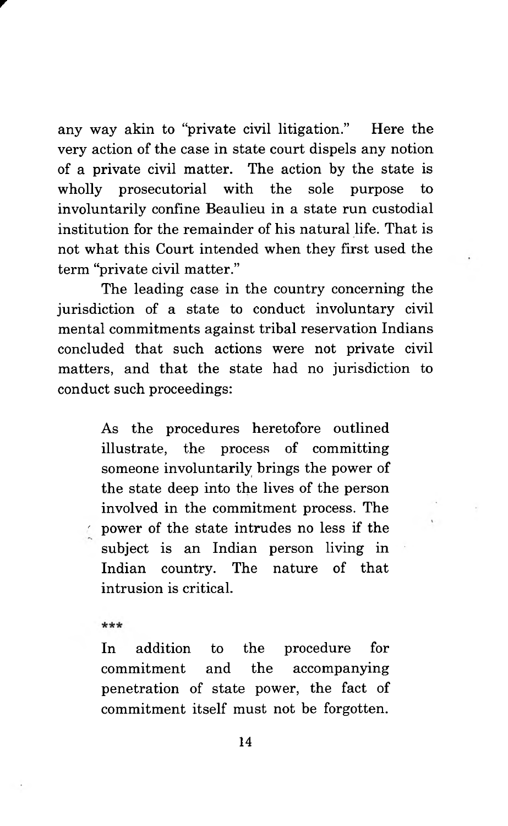any way akin to "private civil litigation." Here the very action of the case in state court dispels any notion of a private civil matter. The action by the state is wholly prosecutorial with the sole purpose to involuntarily confine Beaulieu in a state run custodial institution for the remainder of his natural life. That is not what this Court intended when they first used the term "private civil matter."

The leading case in the country concerning the jurisdiction of a state to conduct involuntary civil mental commitments against tribal reservation Indians concluded that such actions were not private civil matters, and that the state had no jurisdiction to conduct such proceedings:

> As the procedures heretofore outlined illustrate, the process of committing someone involuntarily brings the power of the state deep into the lives of the person involved in the commitment process. The ' power of the state intrudes no less if the subject is an Indian person living in Indian country. The nature of that intrusion is critical.

\*\*\*

r

In addition to the procedure for commitment and the accompanying penetration of state power, the fact of commitment itself must not be forgotten.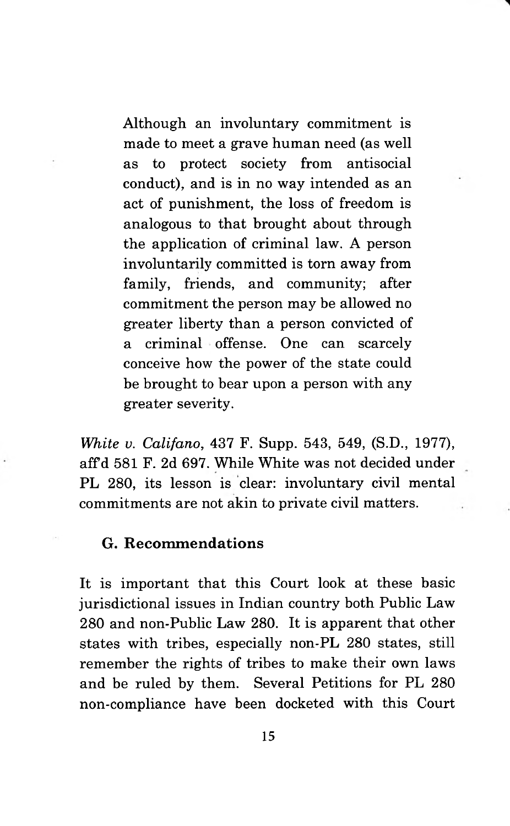Although an involuntary commitment is made to meet a grave human need (as well as to protect society from antisocial conduct), and is in no way intended as an act of punishment, the loss of freedom is analogous to that brought about through the application of criminal law. A person involuntarily committed is torn away from family, friends, and community; after commitment the person may be allowed no greater liberty than a person convicted of a criminal offense. One can scarcely conceive how the power of the state could be brought to bear upon a person with any greater severity.

*White v. Califano,* 437 F. Supp. 543, 549, (S.D., 1977), affd 581 F. 2d 697. While White was not decided under PL 280, its lesson is clear: involuntary civil mental commitments are not akin to private civil matters.

#### <span id="page-22-0"></span>**G. Recommendations**

It is important that this Court look at these basic jurisdictional issues in Indian country both Public Law 280 and non-Public Law 280. It is apparent that other states with tribes, especially non-PL 280 states, still remember the rights of tribes to make their own laws and be ruled by them. Several Petitions for PL 280 non-compliance have been docketed with this Court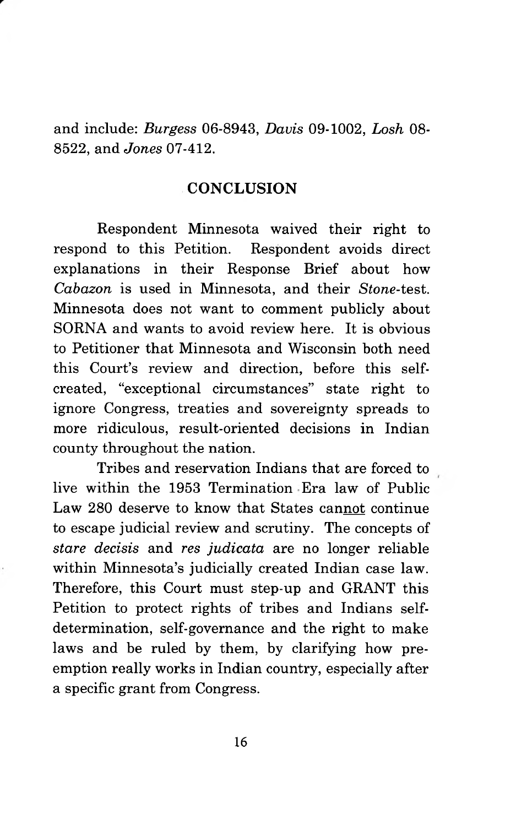<span id="page-23-0"></span>and include: *Burgess* 06-8943, *Davis* 09-1002, *Losh* OS-8522, and *Jones* 07-412.

#### **CONCLUSION**

Respondent Minnesota waived their right to respond to this Petition. Respondent avoids direct explanations in their Response Brief about how *Cabazon* is used in Minnesota, and their *Stone-*test. Minnesota does not want to comment publicly about SORNA and wants to avoid review here. It is obvious to Petitioner that Minnesota and Wisconsin both need this Court's review and direction, before this selfcreated, "exceptional circumstances" state right to ignore Congress, treaties and sovereignty spreads to more ridiculous, result-oriented decisions in Indian county throughout the nation.

Tribes and reservation Indians that are forced to live within the 1953 Termination Era law of Public Law 280 deserve to know that States cannot continue to escape judicial review and scrutiny. The concepts of *stare decisis* and *res judicata* are no longer reliable within Minnesota's judicially created Indian case law. Therefore, this Court must step-up and GRANT this Petition to protect rights of tribes and Indians selfdetermination, self-governance and the right to make laws and be ruled by them, by clarifying how preemption really works in Indian country, especially after a specific grant from Congress.